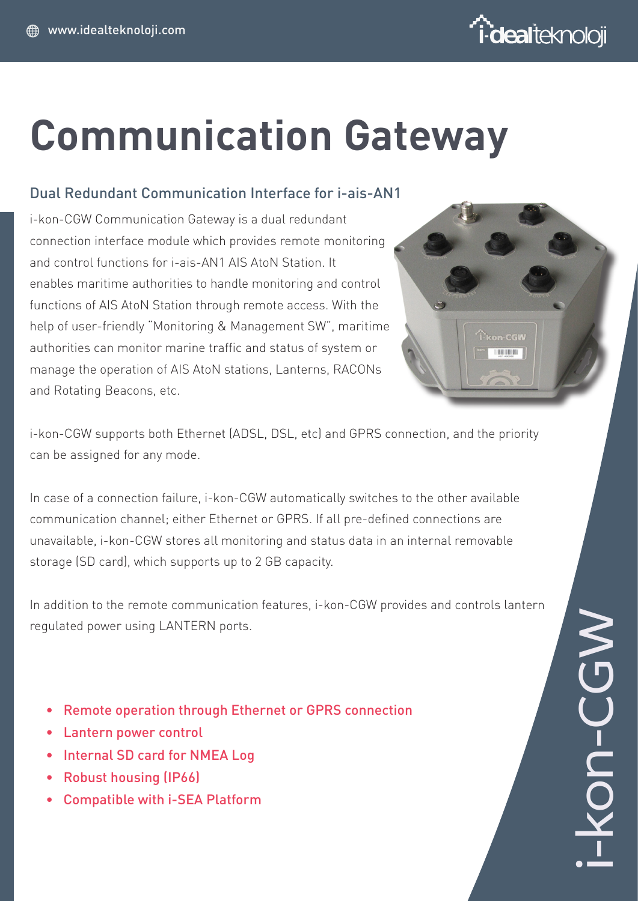

# **Communication Gateway**

### Dual Redundant Communication Interface for i-ais-AN1

i-kon-CGW Communication Gateway is a dual redundant connection interface module which provides remote monitoring and control functions for i-ais-AN1 AIS AtoN Station. It enables maritime authorities to handle monitoring and control functions of AIS AtoN Station through remote access. With the help of user-friendly "Monitoring & Management SW", maritime authorities can monitor marine traffic and status of system or manage the operation of AIS AtoN stations, Lanterns, RACONs and Rotating Beacons, etc.



i-kon-CGW supports both Ethernet (ADSL, DSL, etc) and GPRS connection, and the priority can be assigned for any mode.

In case of a connection failure, i-kon-CGW automatically switches to the other available communication channel; either Ethernet or GPRS. If all pre-defined connections are unavailable, i-kon-CGW stores all monitoring and status data in an internal removable storage (SD card), which supports up to 2 GB capacity.

In addition to the remote communication features, i-kon-CGW provides and controls lantern regulated power using LANTERN ports.

- • Remote operation through Ethernet or GPRS connection
- **Lantern power control**
- Internal SD card for NMEA Log
- • Robust housing (IP66)
- • Compatible with i-SEA Platform